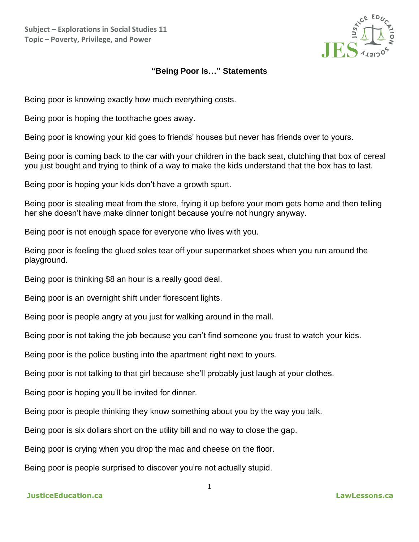**Subject – Explorations in Social Studies 11 Topic – Poverty, Privilege, and Power**



## **"Being Poor Is…" Statements**

Being poor is knowing exactly how much everything costs.

Being poor is hoping the toothache goes away.

Being poor is knowing your kid goes to friends' houses but never has friends over to yours.

Being poor is coming back to the car with your children in the back seat, clutching that box of cereal you just bought and trying to think of a way to make the kids understand that the box has to last.

Being poor is hoping your kids don't have a growth spurt.

Being poor is stealing meat from the store, frying it up before your mom gets home and then telling her she doesn't have make dinner tonight because you're not hungry anyway.

Being poor is not enough space for everyone who lives with you.

Being poor is feeling the glued soles tear off your supermarket shoes when you run around the playground.

Being poor is thinking \$8 an hour is a really good deal.

Being poor is an overnight shift under florescent lights.

Being poor is people angry at you just for walking around in the mall.

Being poor is not taking the job because you can't find someone you trust to watch your kids.

1

Being poor is the police busting into the apartment right next to yours.

Being poor is not talking to that girl because she'll probably just laugh at your clothes.

Being poor is hoping you'll be invited for dinner.

Being poor is people thinking they know something about you by the way you talk.

Being poor is six dollars short on the utility bill and no way to close the gap.

Being poor is crying when you drop the mac and cheese on the floor.

Being poor is people surprised to discover you're not actually stupid.